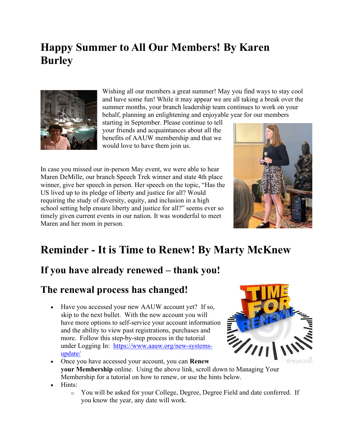### Happy Summer to All Our Members! By Karen Burley



Wishing all our members a great summer! May you find ways to stay cool and have some fun! While it may appear we are all taking a break over the summer months, your branch leadership team continues to work on your behalf, planning an enlightening and enjoyable year for our members

starting in September. Please continue to tell your friends and acquaintances about all the benefits of AAUW membership and that we would love to have them join us.

In case you missed our in-person May event, we were able to hear Maren DeMille, our branch Speech Trek winner and state 4th place winner, give her speech in person. Her speech on the topic, "Has the US lived up to its pledge of liberty and justice for all? Would requiring the study of diversity, equity, and inclusion in a high school setting help ensure liberty and justice for all?" seems ever so timely given current events in our nation. It was wonderful to meet Maren and her mom in person.



### Reminder - It is Time to Renew! By Marty McKnew

#### If you have already renewed – thank you!

#### The renewal process has changed!

 Have you accessed your new AAUW account yet? If so, skip to the next bullet. With the new account you will have more options to self-service your account information and the ability to view past registrations, purchases and more. Follow this step-by-step process in the tutorial under Logging In: https://www.aauw.org/new-systemsupdate/



- Once you have accessed your account, you can **Renew** your Membership online. Using the above link, scroll down to Managing Your Membership for a tutorial on how to renew, or use the hints below.
- Hints:
	- o You will be asked for your College, Degree, Degree Field and date conferred. If you know the year, any date will work.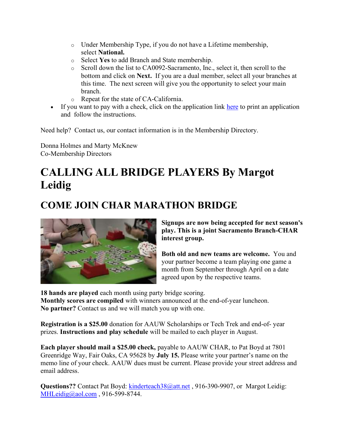- o Under Membership Type, if you do not have a Lifetime membership, select National.
- o Select Yes to add Branch and State membership.
- o Scroll down the list to CA0092-Sacramento, Inc., select it, then scroll to the bottom and click on Next. If you are a dual member, select all your branches at this time. The next screen will give you the opportunity to select your main branch.
- o Repeat for the state of CA-California.
- If you want to pay with a check, click on the application link here to print an application and follow the instructions.

Need help? Contact us, our contact information is in the Membership Directory.

Donna Holmes and Marty McKnew Co-Membership Directors

### CALLING ALL BRIDGE PLAYERS By Margot Leidig

#### COME JOIN CHAR MARATHON BRIDGE



Signups are now being accepted for next season's play. This is a joint Sacramento Branch-CHAR interest group.

Both old and new teams are welcome. You and your partner become a team playing one game a month from September through April on a date agreed upon by the respective teams.

18 hands are played each month using party bridge scoring. Monthly scores are compiled with winners announced at the end-of-year luncheon. No partner? Contact us and we will match you up with one.

Registration is a \$25.00 donation for AAUW Scholarships or Tech Trek and end-of- year prizes. Instructions and play schedule will be mailed to each player in August.

Each player should mail a \$25.00 check, payable to AAUW CHAR, to Pat Boyd at 7801 Greenridge Way, Fair Oaks, CA 95628 by July 15. Please write your partner's name on the memo line of your check. AAUW dues must be current. Please provide your street address and email address.

Questions?? Contact Pat Boyd: kinderteach38@att.net , 916-390-9907, or Margot Leidig: MHLeidig@aol.com , 916-599-8744.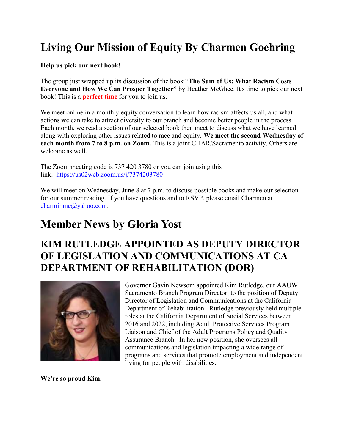### Living Our Mission of Equity By Charmen Goehring

#### Help us pick our next book!

The group just wrapped up its discussion of the book "The Sum of Us: What Racism Costs Everyone and How We Can Prosper Together" by Heather McGhee. It's time to pick our next book! This is a **perfect time** for you to join us.

We meet online in a monthly equity conversation to learn how racism affects us all, and what actions we can take to attract diversity to our branch and become better people in the process. Each month, we read a section of our selected book then meet to discuss what we have learned, along with exploring other issues related to race and equity. We meet the second Wednesday of each month from 7 to 8 p.m. on Zoom. This is a joint CHAR/Sacramento activity. Others are welcome as well.

The Zoom meeting code is 737 420 3780 or you can join using this link: https://us02web.zoom.us/j/7374203780

We will meet on Wednesday, June 8 at 7 p.m. to discuss possible books and make our selection for our summer reading. If you have questions and to RSVP, please email Charmen at charminme@yahoo.com.

#### Member News by Gloria Yost

#### KIM RUTLEDGE APPOINTED AS DEPUTY DIRECTOR OF LEGISLATION AND COMMUNICATIONS AT CA DEPARTMENT OF REHABILITATION (DOR)



Governor Gavin Newsom appointed Kim Rutledge, our AAUW Sacramento Branch Program Director, to the position of Deputy Director of Legislation and Communications at the California Department of Rehabilitation. Rutledge previously held multiple roles at the California Department of Social Services between 2016 and 2022, including Adult Protective Services Program Liaison and Chief of the Adult Programs Policy and Quality Assurance Branch. In her new position, she oversees all communications and legislation impacting a wide range of programs and services that promote employment and independent living for people with disabilities.

We're so proud Kim.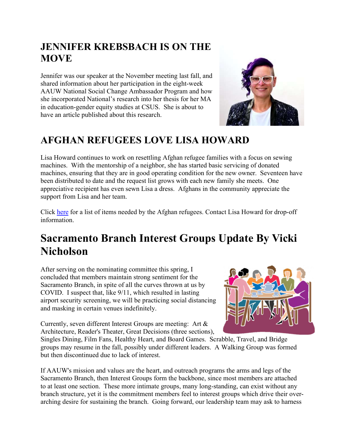#### JENNIFER KREBSBACH IS ON THE **MOVE**

Jennifer was our speaker at the November meeting last fall, and shared information about her participation in the eight-week AAUW National Social Change Ambassador Program and how she incorporated National's research into her thesis for her MA in education-gender equity studies at CSUS. She is about to have an article published about this research.

#### AFGHAN REFUGEES LOVE LISA HOWARD

Lisa Howard continues to work on resettling Afghan refugee families with a focus on sewing machines. With the mentorship of a neighbor, she has started basic servicing of donated machines, ensuring that they are in good operating condition for the new owner. Seventeen have been distributed to date and the request list grows with each new family she meets. One appreciative recipient has even sewn Lisa a dress. Afghans in the community appreciate the support from Lisa and her team.

Click here for a list of items needed by the Afghan refugees. Contact Lisa Howard for drop-off information.

### Sacramento Branch Interest Groups Update By Vicki Nicholson

After serving on the nominating committee this spring, I concluded that members maintain strong sentiment for the Sacramento Branch, in spite of all the curves thrown at us by COVID. I suspect that, like 9/11, which resulted in lasting airport security screening, we will be practicing social distancing and masking in certain venues indefinitely.

Currently, seven different Interest Groups are meeting: Art & Architecture, Reader's Theater, Great Decisions (three sections),

Singles Dining, Film Fans, Healthy Heart, and Board Games. Scrabble, Travel, and Bridge groups may resume in the fall, possibly under different leaders. A Walking Group was formed but then discontinued due to lack of interest.

If AAUW's mission and values are the heart, and outreach programs the arms and legs of the Sacramento Branch, then Interest Groups form the backbone, since most members are attached to at least one section. These more intimate groups, many long-standing, can exist without any branch structure, yet it is the commitment members feel to interest groups which drive their overarching desire for sustaining the branch. Going forward, our leadership team may ask to harness

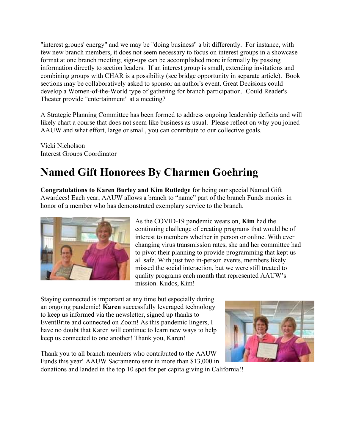"interest groups' energy" and we may be "doing business" a bit differently. For instance, with few new branch members, it does not seem necessary to focus on interest groups in a showcase format at one branch meeting; sign-ups can be accomplished more informally by passing information directly to section leaders. If an interest group is small, extending invitations and combining groups with CHAR is a possibility (see bridge opportunity in separate article). Book sections may be collaboratively asked to sponsor an author's event. Great Decisions could develop a Women-of-the-World type of gathering for branch participation. Could Reader's Theater provide "entertainment" at a meeting?

A Strategic Planning Committee has been formed to address ongoing leadership deficits and will likely chart a course that does not seem like business as usual. Please reflect on why you joined AAUW and what effort, large or small, you can contribute to our collective goals.

Vicki Nicholson Interest Groups Coordinator

## Named Gift Honorees By Charmen Goehring

Congratulations to Karen Burley and Kim Rutledge for being our special Named Gift Awardees! Each year, AAUW allows a branch to "name" part of the branch Funds monies in honor of a member who has demonstrated exemplary service to the branch.



As the COVID-19 pandemic wears on, Kim had the continuing challenge of creating programs that would be of interest to members whether in person or online. With ever changing virus transmission rates, she and her committee had to pivot their planning to provide programming that kept us all safe. With just two in-person events, members likely missed the social interaction, but we were still treated to quality programs each month that represented AAUW's mission. Kudos, Kim!

Staying connected is important at any time but especially during an ongoing pandemic! Karen successfully leveraged technology to keep us informed via the newsletter, signed up thanks to EventBrite and connected on Zoom! As this pandemic lingers, I have no doubt that Karen will continue to learn new ways to help keep us connected to one another! Thank you, Karen!

Thank you to all branch members who contributed to the AAUW Funds this year! AAUW Sacramento sent in more than \$13,000 in donations and landed in the top 10 spot for per capita giving in California!!

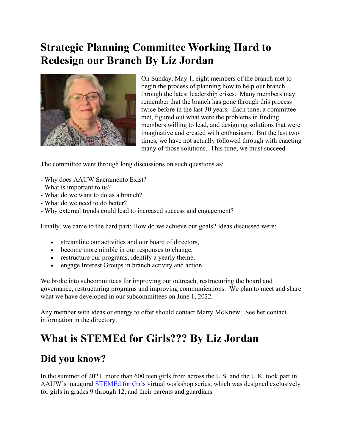#### Strategic Planning Committee Working Hard to Redesign our Branch By Liz Jordan



On Sunday, May 1, eight members of the branch met to begin the process of planning how to help our branch through the latest leadership crises. Many members may remember that the branch has gone through this process twice before in the last 30 years. Each time, a committee met, figured out what were the problems in finding members willing to lead, and designing solutions that were imaginative and created with enthusiasm. But the last two times, we have not actually followed through with enacting many of those solutions. This time, we must succeed.

The committee went through long discussions on such questions as:

- Why does AAUW Sacramento Exist?
- What is important to us?
- What do we want to do as a branch?
- What do we need to do better?
- Why external trends could lead to increased success and engagement?

Finally, we came to the hard part: How do we achieve our goals? Ideas discussed were:

- streamline our activities and our board of directors,
- become more nimble in our responses to change,
- restructure our programs, identify a yearly theme,
- engage Interest Groups in branch activity and action

We broke into subcommittees for improving our outreach, restructuring the board and governance, restructuring programs and improving communications. We plan to meet and share what we have developed in our subcommittees on June 1, 2022.

Any member with ideas or energy to offer should contact Marty McKnew. See her contact information in the directory.

#### What is STEMEd for Girls??? By Liz Jordan

#### Did you know?

In the summer of 2021, more than 600 teen girls from across the U.S. and the U.K. took part in AAUW's inaugural **STEMEd for Girls** virtual workshop series, which was designed exclusively for girls in grades 9 through 12, and their parents and guardians.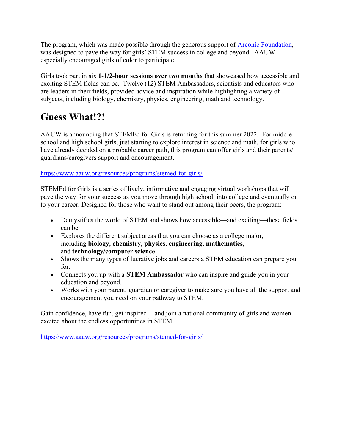The program, which was made possible through the generous support of **Arconic Foundation**, was designed to pave the way for girls' STEM success in college and beyond. AAUW especially encouraged girls of color to participate.

Girls took part in six 1-1/2-hour sessions over two months that showcased how accessible and exciting STEM fields can be. Twelve (12) STEM Ambassadors, scientists and educators who are leaders in their fields, provided advice and inspiration while highlighting a variety of subjects, including biology, chemistry, physics, engineering, math and technology.

#### Guess What!?!

AAUW is announcing that STEMEd for Girls is returning for this summer 2022. For middle school and high school girls, just starting to explore interest in science and math, for girls who have already decided on a probable career path, this program can offer girls and their parents/ guardians/caregivers support and encouragement.

https://www.aauw.org/resources/programs/stemed-for-girls/

STEMEd for Girls is a series of lively, informative and engaging virtual workshops that will pave the way for your success as you move through high school, into college and eventually on to your career. Designed for those who want to stand out among their peers, the program:

- Demystifies the world of STEM and shows how accessible—and exciting—these fields can be.
- Explores the different subject areas that you can choose as a college major, including biology, chemistry, physics, engineering, mathematics, and technology/computer science.
- Shows the many types of lucrative jobs and careers a STEM education can prepare you for.
- Connects you up with a **STEM Ambassador** who can inspire and guide you in your education and beyond.
- Works with your parent, guardian or caregiver to make sure you have all the support and encouragement you need on your pathway to STEM.

Gain confidence, have fun, get inspired -- and join a national community of girls and women excited about the endless opportunities in STEM.

https://www.aauw.org/resources/programs/stemed-for-girls/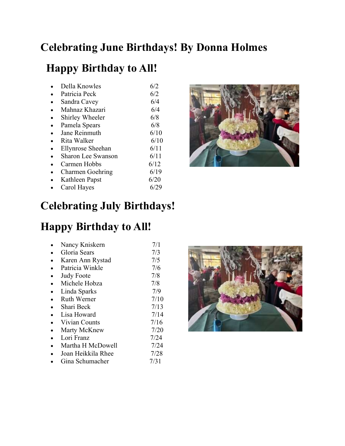#### Celebrating June Birthdays! By Donna Holmes

### Happy Birthday to All!

| Della Knowles             | 6/2  |
|---------------------------|------|
| Patricia Peck             | 6/2  |
| Sandra Cavey              | 6/4  |
| Mahnaz Khazari            | 6/4  |
| Shirley Wheeler           | 6/8  |
| Pamela Spears             | 6/8  |
| Jane Reinmuth             | 6/10 |
| Rita Walker               | 6/10 |
| Ellynrose Sheehan         | 6/11 |
| <b>Sharon Lee Swanson</b> | 6/11 |
| Carmen Hobbs              | 6/12 |
| <b>Charmen Goehring</b>   | 6/19 |
| Kathleen Papst            | 6/20 |
| Carol Hayes               | 6/29 |



### Celebrating July Birthdays!

### Happy Birthday to All!

| Nancy Kniskern     | 7/1  |
|--------------------|------|
| Gloria Sears       | 7/3  |
| Karen Ann Rystad   | 7/5  |
| Patricia Winkle    | 7/6  |
| <b>Judy Foote</b>  | 7/8  |
| Michele Hobza      | 7/8  |
| Linda Sparks       | 7/9  |
| Ruth Werner        | 7/10 |
| Shari Beck         | 7/13 |
| Lisa Howard        | 7/14 |
| Vivian Counts      | 7/16 |
| Marty McKnew       | 7/20 |
| Lori Franz         | 7/24 |
| Martha H McDowell  | 7/24 |
| Joan Heikkila Rhee | 7/28 |
| Gina Schumacher    | 7/31 |

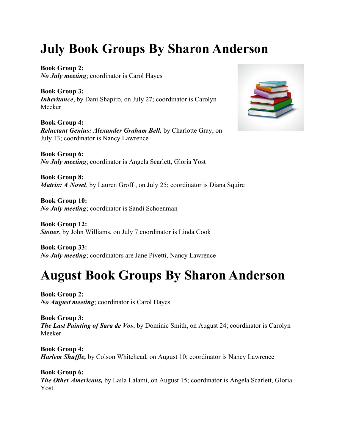# July Book Groups By Sharon Anderson

Book Group 2: No July meeting; coordinator is Carol Hayes

Book Group 3: Inheritance, by Dani Shapiro, on July 27; coordinator is Carolyn Meeker

Book Group 4: Reluctant Genius: Alexander Graham Bell, by Charlotte Gray, on July 13; coordinator is Nancy Lawrence

Book Group 6: No July meeting; coordinator is Angela Scarlett, Gloria Yost

Book Group 8: Matrix: A Novel, by Lauren Groff, on July 25; coordinator is Diana Squire

Book Group 10: No July meeting; coordinator is Sandi Schoenman

Book Group 12: Stoner, by John Williams, on July 7 coordinator is Linda Cook

Book Group 33: No July meeting; coordinators are Jane Pivetti, Nancy Lawrence

# August Book Groups By Sharon Anderson

Book Group 2: No August meeting; coordinator is Carol Hayes

Book Group 3: The Last Painting of Sara de Vos, by Dominic Smith, on August 24; coordinator is Carolyn Meeker

Book Group 4: **Harlem Shuffle,** by Colson Whitehead, on August 10; coordinator is Nancy Lawrence

Book Group 6: The Other Americans, by Laila Lalami, on August 15; coordinator is Angela Scarlett, Gloria Yost